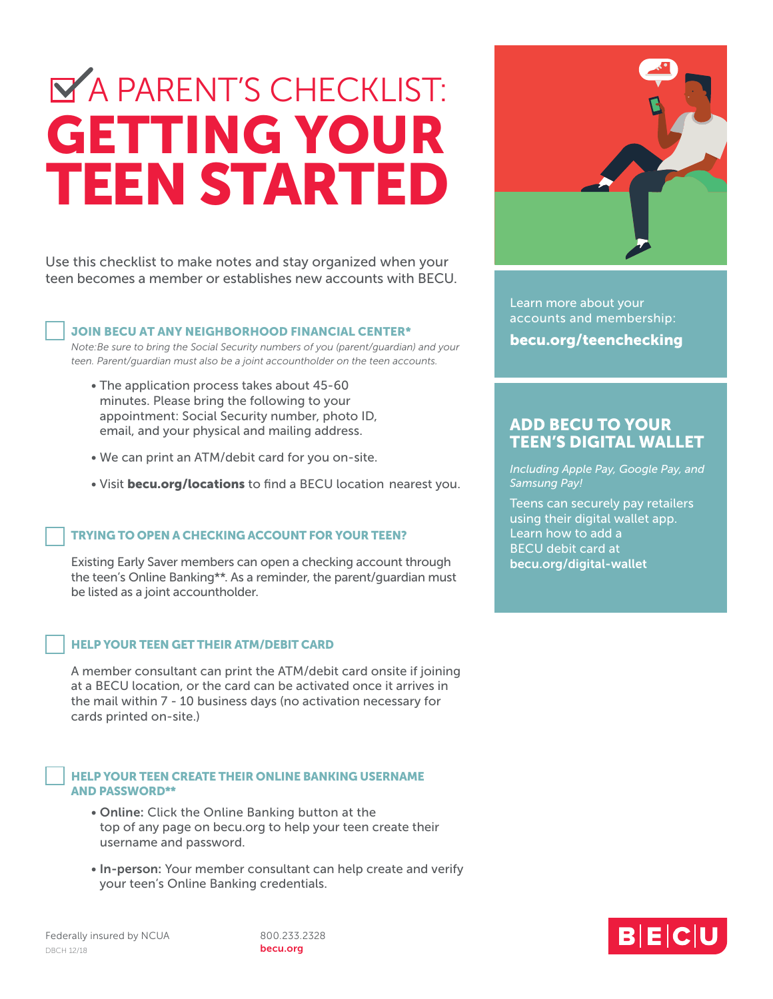# GETTING YOUR TEEN STARTED **MA PARENT'S CHECKLIST:**

Use this checklist to make notes and stay organized when your teen becomes a member or establishes new accounts with BECU.

#### JOIN BECU AT ANY NEIGHBORHOOD FINANCIAL CENTER\*

*Note:Be sure to bring the Social Security numbers of you (parent/guardian) and your teen. Parent/guardian must also be a joint accountholder on the teen accounts.*

- The application process takes about 45-60 minutes. Please bring the following to your appointment: Social Security number, photo ID, email, and your physical and mailing address.
- We can print an ATM/debit card for you on-site.
- Visit becu.org/locations to find a BECU location nearest you.

## TRYING TO OPEN A CHECKING ACCOUNT FOR YOUR TEEN?

Existing Early Saver members can open a checking account through the teen's Online Banking\*\*. As a reminder, the parent/guardian must be listed as a joint accountholder.

## HELP YOUR TEEN GET THEIR ATM/DEBIT CARD

A member consultant can print the ATM/debit card onsite if joining at a BECU location, or the card can be activated once it arrives in the mail within 7 - 10 business days (no activation necessary for cards printed on-site.)

#### HELP YOUR TEEN CREATE THEIR ONLINE BANKING USERNAME AND PASSWORD\*\*

- Online: Click the Online Banking button at the top of any page on becu.org to help your teen create their username and password.
- In-person: Your member consultant can help create and verify your teen's Online Banking credentials.

becu.org



Learn more about your accounts and membership: becu.org/teenchecking

# ADD BECU TO YOUR TEEN'S DIGITAL WALLET

*Including Apple Pay, Google Pay, and Samsung Pay!*

Teens can securely pay retailers using their digital wallet app. Learn how to add a BECU debit card at becu.org/digital-wallet